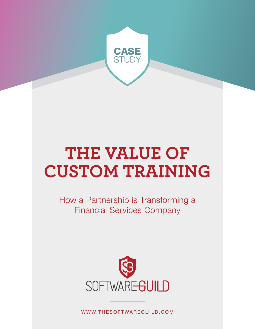

# **THE VALUE OF CUSTOM TRAINING**

How a Partnership is Transforming a Financial Services Company



WWW.THESOFTWAREGUILD.COM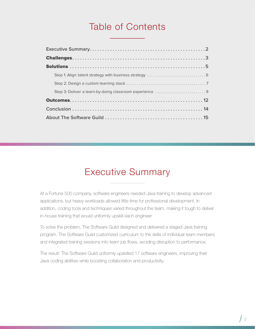### Table of Contents

### Executive Summary

At a Fortune 500 company, software engineers needed Java training to develop advanced applications, but heavy workloads allowed little time for professional development. In addition, coding tools and techniques varied throughout the team, making it tough to deliver in-house training that would uniformly upskill each engineer.

To solve the problem, The Software Guild designed and delivered a staged Java training program. The Software Guild customized curriculum to the skills of individual team members and integrated training sessions into team job flows, avoiding disruption to performance.

The result: The Software Guild uniformly upskilled 17 software engineers, improving their Java coding abilities while boosting collaboration and productivity.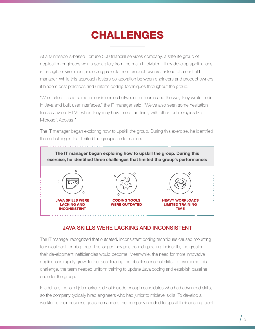# CHALLENGES

<span id="page-2-0"></span>At a Minneapolis-based Fortune 500 financial services company, a satellite group of application engineers works separately from the main IT division. They develop applications in an agile environment, receiving projects from product owners instead of a central IT manager. While this approach fosters collaboration between engineers and product owners, it hinders best practices and uniform coding techniques throughout the group.

"We started to see some inconsistencies between our teams and the way they wrote code in Java and built user interfaces," the IT manager said. "We've also seen some hesitation to use Java or HTML when they may have more familiarity with other technologies like Microsoft Access."

The IT manager began exploring how to upskill the group. During this exercise, he identified three challenges that limited the group's performance:



#### JAVA SKILLS WERE LACKING AND INCONSISTENT

The IT manager recognized that outdated, inconsistent coding techniques caused mounting technical debt for his group. The longer they postponed updating their skills, the greater their development inefficiencies would become. Meanwhile, the need for more innovative applications rapidly grew, further accelerating the obsolescence of skills. To overcome this challenge, the team needed uniform training to update Java coding and establish baseline code for the group.

In addition, the local job market did not include enough candidates who had advanced skills, so the company typically hired engineers who had junior to midlevel skills. To develop a workforce their business goals demanded, the company needed to upskill their existing talent.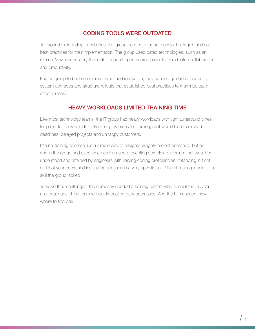#### CODING TOOLS WERE OUTDATED

To expand their coding capabilities, the group needed to adopt new technologies and set best practices for their implementation. The group used dated technologies, such as an internal Maven repository that didn't support open-source projects. This limited collaboration and productivity.

For the group to become more efficient and innovative, they needed guidance to identify system upgrades and structure rollouts that established best practices to maximize team effectiveness.

#### HEAVY WORKLOADS LIMITED TRAINING TIME

Like most technology teams, the IT group had heavy workloads with tight turnaround times for projects. They couldn't take a lengthy break for training, as it would lead to missed deadlines, delayed projects and unhappy customers.

Internal training seemed like a simple way to navigate weighty project demands, but no one in the group had experience crafting and presenting complex curriculum that would be understood and retained by engineers with varying coding proficiencies. "Standing in front of 15 of your peers and instructing a lesson is a very specific skill," the IT manager said — a skill the group lacked.

To solve their challenges, the company needed a training partner who specialized in Java and could upskill the team without impacting daily operations. And the IT manager knew where to find one.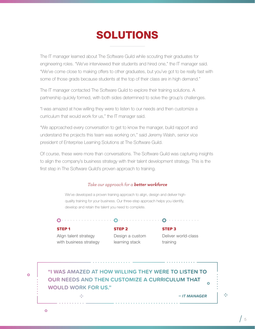## SOLUTIONS

<span id="page-4-0"></span>The IT manager learned about The Software Guild while scouting their graduates for engineering roles. "We've interviewed their students and hired one," the IT manager said. "We've come close to making offers to other graduates, but you've got to be really fast with some of those grads because students at the top of their class are in high demand."

The IT manager contacted The Software Guild to explore their training solutions. A partnership quickly formed, with both sides determined to solve the group's challenges.

"I was amazed at how willing they were to listen to our needs and then customize a curriculum that would work for us," the IT manager said.

"We approached every conversation to get to know the manager, build rapport and understand the projects this team was working on," said Jeremy Walsh, senior vice president of Enterprise Learning Solutions at The Software Guild.

Of course, these were more than conversations. The Software Guild was capturing insights to align the company's business strategy with their talent development strategy. This is the first step in The Software Guild's proven approach to training.

#### *Take our approach for a better workforce*

We've developed a proven training approach to align, design and deliver highquality training for your business. Our three-step approach helps you identify, develop and retain the talent you need to complete.

 $\Omega$  . . . . . . . . . . . . . . . . . .  $\Omega$  . . . . . . . . . . . . . . . . .  $\Omega$  . . . . . . . . . . . .

#### STEP 1

STEP 2

Deliver world-class training

STEP 3

Align talent strategy with business strategy

 $\omega_{\mu\nu}^{\rm H}$ 

Design a custom learning stack

**"I WAS AMAZED AT HOW WILLING THEY WERE TO LISTEN TO** 

**OUR NEEDS AND THEN CUSTOMIZE A CURRICULUM THAT WOULD WORK FOR US."**

*– IT MANAGER*

 $\overline{O}$ 

 $\overline{O}$ 

 $\frac{1}{2}$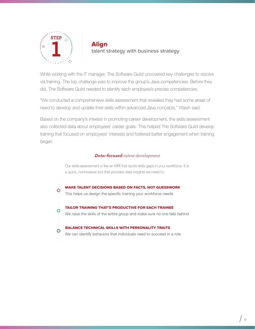<span id="page-5-0"></span>

# Align<br>talent strategy with business strategy

While working with the IT manager, The Software Guild uncovered key challenges to resolve via training. The top challenge was to improve the group's Java competencies. Before they did, The Software Guild needed to identify each employee's precise competencies.

"We conducted a comprehensive skills assessment that revealed they had some areas of need to develop and update their skills within advanced Java concepts," Walsh said.

Based on the company's interest in promoting career development, the skills assessment also collected data about employees' career goals. This helped The Software Guild develop training that focused on employees' interests and fostered better engagement when training began.

#### *Data-focused talent development*

Our skills assessment is like an MRI that spots skills gaps in your workforce. It is a quick, noninvasive tool that provides data insights we need to:

#### MAKE TALENT DECISIONS BASED ON FACTS, NOT GUESSWORK

This helps us design the specific training your workforce needs

#### TAILOR TRAINING THAT'S PRODUCTIVE FOR EACH TRAINEE

We raise the skills of the entire group and make sure no one falls behind

#### BALANCE TECHNICAL SKILLS WITH PERSONALITY TRAITS

We can identify behaviors that individuals need to succeed in a role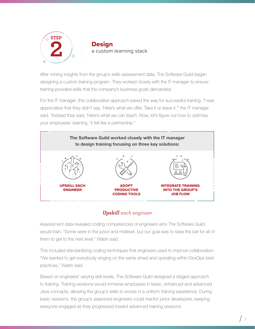<span id="page-6-0"></span>

Design a custom learning stack

After mining insights from the group's skills assessment data, The Software Guild began designing a custom training program. They worked closely with the IT manager to ensure training provided skills that the company's business goals demanded.

For the IT manager, this collaborative approach paved the way for successful training. "I was appreciative that they didn't say, 'Here's what we offer. Take it or leave it,'" the IT manager said. "Instead they said, 'Here's what we can teach. Now, let's figure out how to optimize your employees' learning.' It felt like a partnership."



#### *Upskill each engineer*

Assessment data revealed coding competencies of engineers who The Software Guild would train. "Some were in the junior and midlevel, but our goal was to raise the bar for all of them to get to the next level," Walsh said.

This included standardizing coding techniques that engineers used to improve collaboration. "We wanted to get everybody singing on the same sheet and operating within DevOps best practices," Walsh said.

Based on engineers' varying skill levels, The Software Guild designed a staged approach to training. Training sessions would immerse employees in basic, enhanced and advanced Java concepts, allowing the group's skills to evolve in a uniform training experience. During basic sessions, the group's seasoned engineers could mentor junior developers, keeping everyone engaged as they progressed toward advanced training sessions.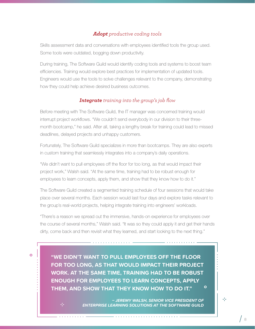#### *Adopt productive coding tools*

Skills assessment data and conversations with employees identified tools the group used. Some tools were outdated, bogging down productivity.

During training, The Software Guild would identify coding tools and systems to boost team efficiencies. Training would explore best practices for implementation of updated tools. Engineers would use the tools to solve challenges relevant to the company, demonstrating how they could help achieve desired business outcomes.

#### *Integrate training into the group's job flow*

Before meeting with The Software Guild, the IT manager was concerned training would interrupt project workflows. "We couldn't send everybody in our division to their threemonth bootcamp," he said. After all, taking a lengthy break for training could lead to missed deadlines, delayed projects and unhappy customers.

Fortunately, The Software Guild specializes in more than bootcamps. They are also experts in custom training that seamlessly integrates into a company's daily operations.

"We didn't want to pull employees off the floor for too long, as that would impact their project work," Walsh said. "At the same time, training had to be robust enough for employees to leam concepts, apply them, and show that they know how to do it."

The Software Guild created a segmented training schedule of four sessions that would take place over several months. Each session would last four days and explore tasks relevant to the group's real-world projects, helping integrate training into engineers' workloads.

"There's a reason we spread out the immersive, hands-on experience for employees over the course of several months," Walsh said. "It was so they could apply it and get their hands dirty, come back and then revisit what they learned, and start looking to the next thing."

 $\bullet$ 

**"WE DIDN'T WANT TO PULL EMPLOYEES OFF THE FLOOR FOR TOO LONG, AS THAT WOULD IMPACT THEIR PROJECT WORK. AT THE SAME TIME, TRAINING HAD TO BE ROBUST ENOUGH FOR EMPLOYEES TO LEARN CONCEPTS, APPLY THEM, AND SHOW THAT THEY KNOW HOW TO DO IT."**

> *– JEREMY WALSH, SENIOR VICE PRESIDENT OF ENTERPRISE LEARNING SOLUTIONS AT THE SOFTWARE GUILD*

45

 $\circ$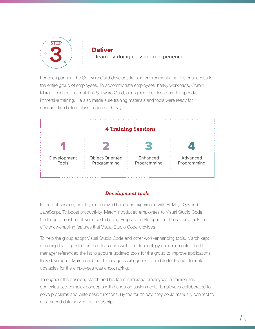<span id="page-8-0"></span>

#### **Deliver** a learn-by-doing classroom experience

For each partner, The Software Guild develops training environments that foster success for the entire group of employees. To accommodate employees' heavy workloads, Corbin March, lead instructor at The Software Guild, configured the classroom for speedy, immersive training. He also made sure training materials and tools were ready for consumption before class began each day.



#### *Development tools*

In the first session, employees received hands-on experience with HTML, CSS and JavaScript. To boost productivity, March introduced employees to Visual Studio Code. On the job, most employees coded using Eclipse and Notepad++. These tools lack the efficiency-enabling features that Visual Studio Code provides.

To help the group adopt Visual Studio Code and other work-enhancing tools, March kept a running list — posted on the classroom wall — of technology enhancements. The IT manager referenced the list to acquire updated tools for the group to improve applications they developed. March said the IT manager's willingness to update tools and eliminate obstacles for the employees was encouraging.

Throughout the session, March and his team immersed employees in training and contextualized complex concepts with hands-on assignments. Employees collaborated to solve problems and write basic functions. By the fourth day, they could manually connect to a back-end data service via JavaScript.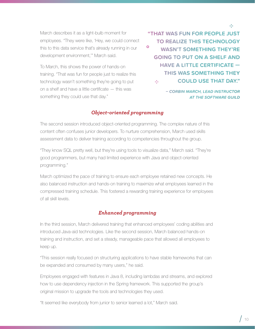March describes it as a light-bulb moment for employees. "They were like, 'Hey, we could connect this to this data service that's already running in our development environment,'" March said.

To March, this shows the power of hands-on training. "That was fun for people just to realize this technology wasn't something they're going to put on a shelf and have a little certificate — this was something they could use that day."

**"THAT WAS FUN FOR PEOPLE JUST TO REALIZE THIS TECHNOLOGY**   $\bullet$ **WASN'T SOMETHING THEY'RE GOING TO PUT ON A SHELF AND HAVE A LITTLE CERTIFICATE — THIS WAS SOMETHING THEY COULD USE THAT DAY."**  $\frac{1}{2} \frac{1}{2} \frac{1}{2}$  .

> *– CORBIN MARCH, LEAD INSTRUCTOR AT THE SOFTWARE GUILD*

45

#### *Object-oriented programming*

The second session introduced object-oriented programming. The complex nature of this content often confuses junior developers. To nurture comprehension, March used skills assessment data to deliver training according to competencies throughout the group.

"They know SQL pretty well, but they're using tools to visualize data," March said. "They're good programmers, but many had limited experience with Java and object-oriented programming."

March optimized the pace of training to ensure each employee retained new concepts. He also balanced instruction and hands-on training to maximize what employees learned in the compressed training schedule. This fostered a rewarding training experience for employees of all skill levels.

#### *Enhanced programming*

In the third session, March delivered training that enhanced employees' coding abilities and introduced Java-aid technologies. Like the second session, March balanced hands-on training and instruction, and set a steady, manageable pace that allowed all employees to keep up.

"This session really focused on structuring applications to have stable frameworks that can be expanded and consumed by many users," he said.

Employees engaged with features in Java 8, including lambdas and streams, and explored how to use dependency injection in the Spring framework. This supported the group's original mission to upgrade the tools and technologies they used.

"It seemed like everybody from junior to senior learned a lot," March said.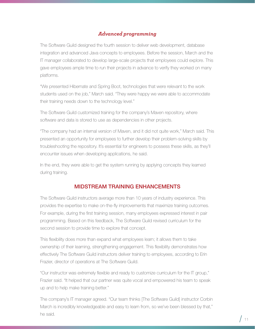#### *Advanced programming*

The Software Guild designed the fourth session to deliver web development, database integration and advanced Java concepts to employees. Before the session, March and the IT manager collaborated to develop large-scale projects that employees could explore. This gave employees ample time to run their projects in advance to verify they worked on many platforms.

"We presented Hibernate and Spring Boot, technologies that were relevant to the work students used on the job," March said. "They were happy we were able to accommodate their training needs down to the technology level."

The Software Guild customized training for the company's Maven repository, where software and data is stored to use as dependencies in other projects.

"The company had an internal version of Maven, and it did not quite work," March said. This presented an opportunity for employees to further develop their problem-solving skills by troubleshooting the repository. It's essential for engineers to possess these skills, as they'll encounter issues when developing applications, he said.

In the end, they were able to get the system running by applying concepts they learned during training.

#### MIDSTREAM TRAINING ENHANCEMENTS

The Software Guild instructors average more than 10 years of industry experience. This provides the expertise to make on-the-fly improvements that maximize training outcomes. For example, during the first training session, many employees expressed interest in pair programming. Based on this feedback, The Software Guild revised curriculum for the second session to provide time to explore that concept.

This flexibility does more than expand what employees learn; it allows them to take ownership of their learning, strengthening engagement. This flexibility demonstrates how effectively The Software Guild instructors deliver training to employees, according to Erin Frazier, director of operations at The Software Guild.

"Our instructor was extremely flexible and ready to customize curriculum for the IT group," Frazier said. "It helped that our partner was quite vocal and empowered his team to speak up and to help make training better."

The company's IT manager agreed. "Our team thinks [The Software Guild] instructor Corbin March is incredibly knowledgeable and easy to learn from, so we've been blessed by that," he said.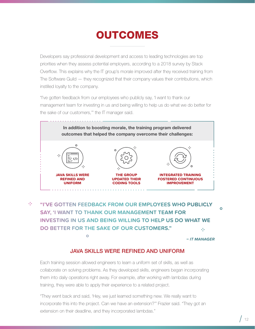# OUTCOMES

<span id="page-11-0"></span>Developers say professional development and access to leading technologies are top priorities when they assess potential employers, according to a 2018 survey by Stack Overflow. This explains why the IT group's morale improved after they received training from The Software Guild — they recognized that their company values their contributions, which instilled loyalty to the company.

"I've gotten feedback from our employees who publicly say, 'I want to thank our management team for investing in us and being willing to help us do what we do better for the sake of our customers,'" the IT manager said.



-1-1 **"I'VE GOTTEN FEEDBACK FROM OUR EMPLOYEES WHO PUBLICLY SAY, 'I WANT TO THANK OUR MANAGEMENT TEAM FOR INVESTING IN US AND BEING WILLING TO HELP US DO WHAT WE DO BETTER FOR THE SAKE OF OUR CUSTOMERS."** 44  $\bullet$ *– IT MANAGER*

#### JAVA SKILLS WERE REFINED AND UNIFORM

Each training session allowed engineers to learn a uniform set of skills, as well as collaborate on solving problems. As they developed skills, engineers began incorporating them into daily operations right away. For example, after working with lambdas during training, they were able to apply their experience to a related project.

"They went back and said, 'Hey, we just learned something new. We really want to incorporate this into the project. Can we have an extension?'" Frazier said. "They got an extension on their deadline, and they incorporated lambdas."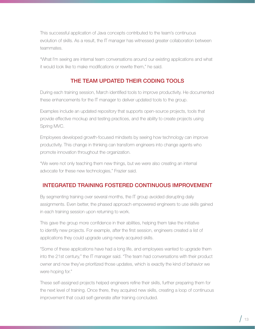This successful application of Java concepts contributed to the team's continuous evolution of skills. As a result, the IT manager has witnessed greater collaboration between teammates.

"What I'm seeing are internal team conversations around our existing applications and what it would look like to make modifications or rewrite them," he said.

#### THE TEAM UPDATED THEIR CODING TOOLS

During each training session, March identified tools to improve productivity. He documented these enhancements for the IT manager to deliver updated tools to the group.

Examples include an updated repository that supports open-source projects, tools that provide effective mockup and testing practices, and the ability to create projects using Spring MVC.

Employees developed growth-focused mindsets by seeing how technology can improve productivity. This change in thinking can transform engineers into change agents who promote innovation throughout the organization.

"We were not only teaching them new things, but we were also creating an internal advocate for these new technologies," Frazier said.

#### INTEGRATED TRAINING FOSTERED CONTINUOUS IMPROVEMENT

By segmenting training over several months, the IT group avoided disrupting daily assignments. Even better, the phased approach empowered engineers to use skills gained in each training session upon returning to work.

This gave the group more confidence in their abilities, helping them take the initiative to identify new projects. For example, after the first session, engineers created a list of applications they could upgrade using newly acquired skills.

"Some of these applications have had a long life, and employees wanted to upgrade them into the 21st century," the IT manager said. "The team had conversations with their product owner and now they've prioritized those updates, which is exactly the kind of behavior we were hoping for."

These self-assigned projects helped engineers refine their skills, further preparing them for the next level of training. Once there, they acquired new skills, creating a loop of continuous improvement that could self-generate after training concluded.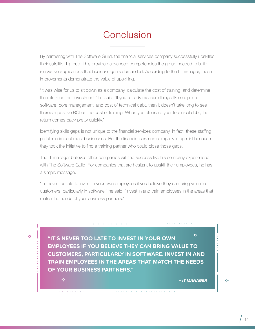### Conclusion

<span id="page-13-0"></span>By partnering with The Software Guild, the financial services company successfully upskilled their satellite IT group. This provided advanced competencies the group needed to build innovative applications that business goals demanded. According to the IT manager, these improvements demonstrate the value of upskilling.

"It was wise for us to sit down as a company, calculate the cost of training, and determine the return on that investment," he said. "If you already measure things like support of software, core management, and cost of technical debt, then it doesn't take long to see there's a positive ROI on the cost of training. When you eliminate your technical debt, the return comes back pretty quickly."

Identifying skills gaps is not unique to the financial services company. In fact, these staffing problems impact most businesses. But the financial services company is special because they took the initiative to find a training partner who could close those gaps.

The IT manager believes other companies will find success like his company experienced with The Software Guild. For companies that are hesitant to upskill their employees, he has a simple message.

"It's never too late to invest in your own employees if you believe they can bring value to customers, particularly in software," he said. "Invest in and train employees in the areas that match the needs of your business partners."

-54

 $\circ$ **"IT'S NEVER TOO LATE TO INVEST IN YOUR OWN EMPLOYEES IF YOU BELIEVE THEY CAN BRING VALUE TO CUSTOMERS, PARTICULARLY IN SOFTWARE. INVEST IN AND TRAIN EMPLOYEES IN THE AREAS THAT MATCH THE NEEDS OF YOUR BUSINESS PARTNERS."**

*– IT MANAGER*

45